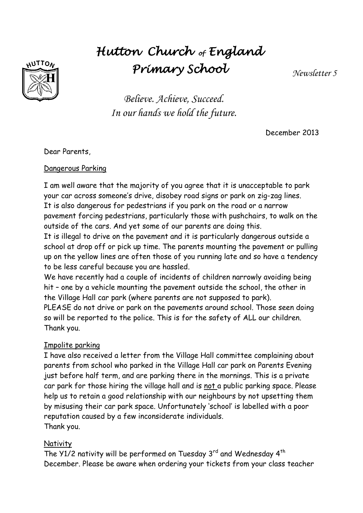# **UTTON**

# *Hutton Church of England Primary School*

*Newsletter 5*

*Believe. Achieve, Succeed. In our hands we hold the future.*

December 2013

Dear Parents,

# Dangerous Parking

I am well aware that the majority of you agree that it is unacceptable to park your car across someone's drive, disobey road signs or park on zig-zag lines. It is also dangerous for pedestrians if you park on the road or a narrow pavement forcing pedestrians, particularly those with pushchairs, to walk on the outside of the cars. And yet some of our parents are doing this.

It is illegal to drive on the pavement and it is particularly dangerous outside a school at drop off or pick up time. The parents mounting the pavement or pulling up on the yellow lines are often those of you running late and so have a tendency to be less careful because you are hassled.

We have recently had a couple of incidents of children narrowly avoiding being hit – one by a vehicle mounting the pavement outside the school, the other in the Village Hall car park (where parents are not supposed to park).

PLEASE do not drive or park on the pavements around school. Those seen doing so will be reported to the police. This is for the safety of ALL our children. Thank you.

# Impolite parking

I have also received a letter from the Village Hall committee complaining about parents from school who parked in the Village Hall car park on Parents Evening just before half term, and are parking there in the mornings. This is a private car park for those hiring the village hall and is not a public parking space. Please help us to retain a good relationship with our neighbours by not upsetting them by misusing their car park space. Unfortunately 'school' is labelled with a poor reputation caused by a few inconsiderate individuals. Thank you.

# **Nativity**

The Y1/2 nativity will be performed on Tuesday  $3<sup>rd</sup>$  and Wednesday  $4<sup>th</sup>$ December. Please be aware when ordering your tickets from your class teacher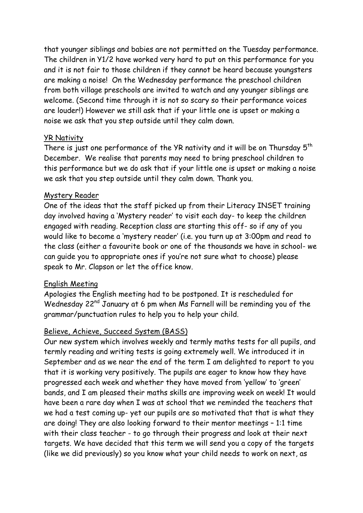that younger siblings and babies are not permitted on the Tuesday performance. The children in Y1/2 have worked very hard to put on this performance for you and it is not fair to those children if they cannot be heard because youngsters are making a noise! On the Wednesday performance the preschool children from both village preschools are invited to watch and any younger siblings are welcome. (Second time through it is not so scary so their performance voices are louder!) However we still ask that if your little one is upset or making a noise we ask that you step outside until they calm down.

#### YR Nativity

There is just one performance of the YR nativity and it will be on Thursday  $5^{th}$ December. We realise that parents may need to bring preschool children to this performance but we do ask that if your little one is upset or making a noise we ask that you step outside until they calm down. Thank you.

#### Mystery Reader

One of the ideas that the staff picked up from their Literacy INSET training day involved having a 'Mystery reader' to visit each day- to keep the children engaged with reading. Reception class are starting this off- so if any of you would like to become a 'mystery reader' (i.e. you turn up at 3:00pm and read to the class (either a favourite book or one of the thousands we have in school- we can guide you to appropriate ones if you're not sure what to choose) please speak to Mr. Clapson or let the office know.

#### English Meeting

Apologies the English meeting had to be postponed. It is rescheduled for Wednesday 22<sup>nd</sup> January at 6 pm when Ms Farnell will be reminding you of the grammar/punctuation rules to help you to help your child.

# Believe, Achieve, Succeed System (BASS)

Our new system which involves weekly and termly maths tests for all pupils, and termly reading and writing tests is going extremely well. We introduced it in September and as we near the end of the term I am delighted to report to you that it is working very positively. The pupils are eager to know how they have progressed each week and whether they have moved from 'yellow' to 'green' bands, and I am pleased their maths skills are improving week on week! It would have been a rare day when I was at school that we reminded the teachers that we had a test coming up- yet our pupils are so motivated that that is what they are doing! They are also looking forward to their mentor meetings – 1:1 time with their class teacher - to go through their progress and look at their next targets. We have decided that this term we will send you a copy of the targets (like we did previously) so you know what your child needs to work on next, as